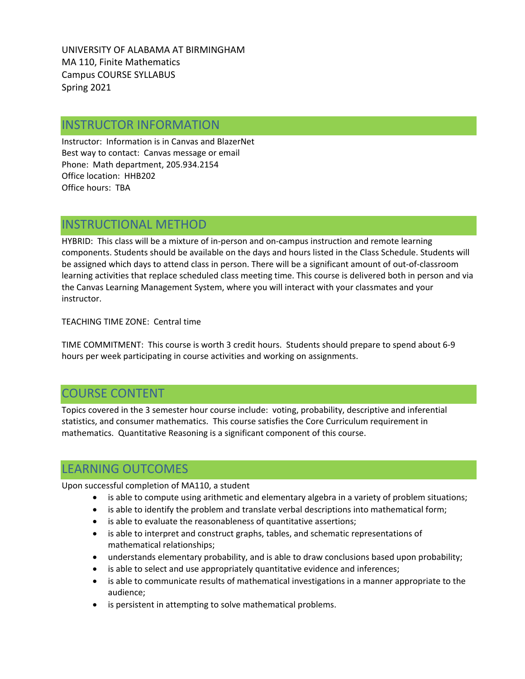UNIVERSITY OF ALABAMA AT BIRMINGHAM MA 110, Finite Mathematics Campus COURSE SYLLABUS Spring 2021

## INSTRUCTOR INFORMATION

Instructor: Information is in Canvas and BlazerNet Best way to contact: Canvas message or email Phone: Math department, 205.934.2154 Office location: HHB202 Office hours: TBA

## INSTRUCTIONAL METHOD

HYBRID: This class will be a mixture of in-person and on-campus instruction and remote learning components. Students should be available on the days and hours listed in the Class Schedule. Students will be assigned which days to attend class in person. There will be a significant amount of out-of-classroom learning activities that replace scheduled class meeting time. This course is delivered both in person and via the Canvas Learning Management System, where you will interact with your classmates and your instructor.

TEACHING TIME ZONE: Central time

TIME COMMITMENT: This course is worth 3 credit hours. Students should prepare to spend about 6-9 hours per week participating in course activities and working on assignments.

# COURSE CONTENT

Topics covered in the 3 semester hour course include: voting, probability, descriptive and inferential statistics, and consumer mathematics. This course satisfies the Core Curriculum requirement in mathematics. Quantitative Reasoning is a significant component of this course.

# LEARNING OUTCOMES

Upon successful completion of MA110, a student

- is able to compute using arithmetic and elementary algebra in a variety of problem situations;
- is able to identify the problem and translate verbal descriptions into mathematical form;
- is able to evaluate the reasonableness of quantitative assertions;
- is able to interpret and construct graphs, tables, and schematic representations of mathematical relationships;
- understands elementary probability, and is able to draw conclusions based upon probability;
- is able to select and use appropriately quantitative evidence and inferences;
- is able to communicate results of mathematical investigations in a manner appropriate to the audience;
- is persistent in attempting to solve mathematical problems.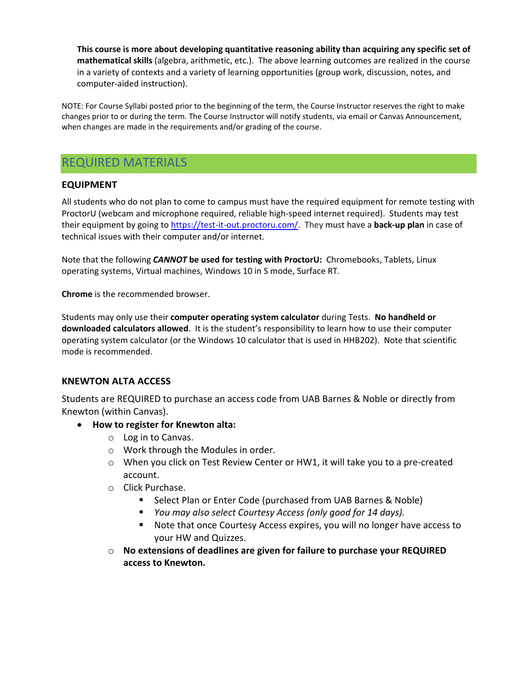**This course is more about developing quantitative reasoning ability than acquiring any specific set of mathematical skills** (algebra, arithmetic, etc.). The above learning outcomes are realized in the course in a variety of contexts and a variety of learning opportunities (group work, discussion, notes, and computer-aided instruction).

NOTE: For Course Syllabi posted prior to the beginning of the term, the Course Instructor reserves the right to make changes prior to or during the term. The Course Instructor will notify students, via email or Canvas Announcement, when changes are made in the requirements and/or grading of the course.

# REQUIRED MATERIALS

### **EQUIPMENT**

All students who do not plan to come to campus must have the required equipment for remote testing with ProctorU (webcam and microphone required, reliable high-speed internet required). Students may test their equipment by going to [https://test-it-out.proctoru.com/.](https://test-it-out.proctoru.com/) They must have a **back-up plan** in case of technical issues with their computer and/or internet.

Note that the following *CANNOT* **be used for testing with ProctorU:** Chromebooks, Tablets, Linux operating systems, Virtual machines, Windows 10 in S mode, Surface RT.

**Chrome** is the recommended browser.

Students may only use their **computer operating system calculator** during Tests. **No handheld or downloaded calculators allowed**. It is the student's responsibility to learn how to use their computer operating system calculator (or the Windows 10 calculator that is used in HHB202). Note that scientific mode is recommended.

### **KNEWTON ALTA ACCESS**

Students are REQUIRED to purchase an access code from UAB Barnes & Noble or directly from Knewton (within Canvas).

- **How to register for Knewton alta:**
	- o Log in to Canvas.
	- o Work through the Modules in order.
	- o When you click on Test Review Center or HW1, it will take you to a pre-created account.
	- o Click Purchase.
		- Select Plan or Enter Code (purchased from UAB Barnes & Noble)
		- *You may also select Courtesy Access (only good for 14 days).*
		- Note that once Courtesy Access expires, you will no longer have access to your HW and Quizzes.
	- o **No extensions of deadlines are given for failure to purchase your REQUIRED access to Knewton.**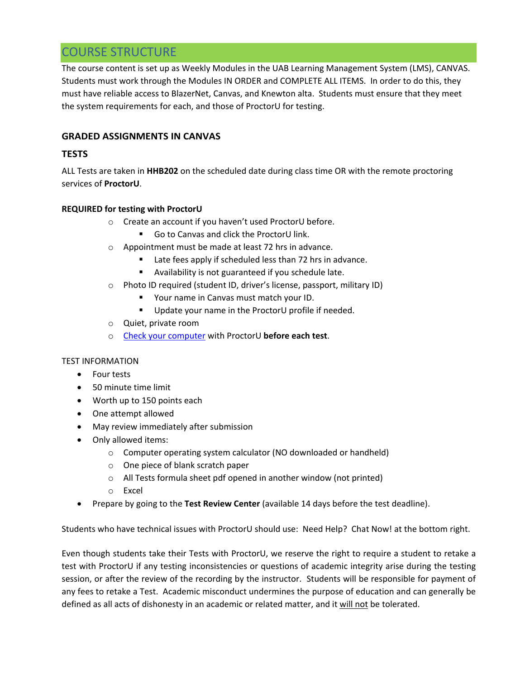# COURSE STRUCTURE

The course content is set up as Weekly Modules in the UAB Learning Management System (LMS), CANVAS. Students must work through the Modules IN ORDER and COMPLETE ALL ITEMS. In order to do this, they must have reliable access to BlazerNet, Canvas, and Knewton alta. Students must ensure that they meet the system requirements for each, and those of ProctorU for testing.

### **GRADED ASSIGNMENTS IN CANVAS**

### **TESTS**

ALL Tests are taken in **HHB202** on the scheduled date during class time OR with the remote proctoring services of **ProctorU**.

### **REQUIRED for testing with ProctorU**

- o Create an account if you haven't used ProctorU before.
	- Go to Canvas and click the ProctorU link.
- o Appointment must be made at least 72 hrs in advance.
	- Late fees apply if scheduled less than 72 hrs in advance.
	- Availability is not guaranteed if you schedule late.
- o Photo ID required (student ID, driver's license, passport, military ID)
	- **P** Your name in Canvas must match your ID.
	- **Update your name in the ProctorU profile if needed.**
- o Quiet, private room
- o [Check your computer](https://proctoru.com/testitout) with ProctorU **before each test**.

### TEST INFORMATION

- Four tests
- 50 minute time limit
- Worth up to 150 points each
- One attempt allowed
- May review immediately after submission
- Only allowed items:
	- o Computer operating system calculator (NO downloaded or handheld)
	- o One piece of blank scratch paper
	- o All Tests formula sheet pdf opened in another window (not printed)
	- o Excel
- Prepare by going to the **Test Review Center** (available 14 days before the test deadline).

Students who have technical issues with ProctorU should use: Need Help? Chat Now! at the bottom right.

Even though students take their Tests with ProctorU, we reserve the right to require a student to retake a test with ProctorU if any testing inconsistencies or questions of academic integrity arise during the testing session, or after the review of the recording by the instructor. Students will be responsible for payment of any fees to retake a Test. Academic misconduct undermines the purpose of education and can generally be defined as all acts of dishonesty in an academic or related matter, and it will not be tolerated.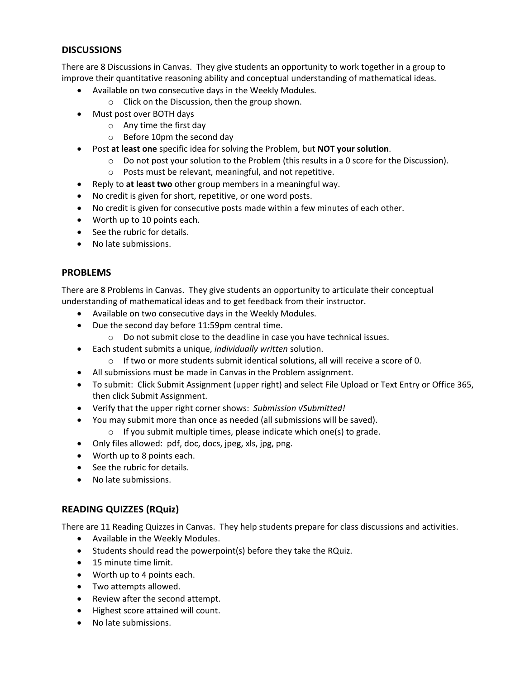### **DISCUSSIONS**

There are 8 Discussions in Canvas. They give students an opportunity to work together in a group to improve their quantitative reasoning ability and conceptual understanding of mathematical ideas.

- Available on two consecutive days in the Weekly Modules.
	- o Click on the Discussion, then the group shown.
- Must post over BOTH days
	- $\circ$  Any time the first day
	- o Before 10pm the second day
- Post **at least one** specific idea for solving the Problem, but **NOT your solution**.
	- $\circ$  Do not post your solution to the Problem (this results in a 0 score for the Discussion).
	- o Posts must be relevant, meaningful, and not repetitive.
- Reply to **at least two** other group members in a meaningful way.
- No credit is given for short, repetitive, or one word posts.
- No credit is given for consecutive posts made within a few minutes of each other.
- Worth up to 10 points each.
- See the rubric for details.
- No late submissions.

### **PROBLEMS**

There are 8 Problems in Canvas. They give students an opportunity to articulate their conceptual understanding of mathematical ideas and to get feedback from their instructor.

- Available on two consecutive days in the Weekly Modules.
- Due the second day before 11:59pm central time.
	- o Do not submit close to the deadline in case you have technical issues.
- Each student submits a unique, *individually written* solution.
	- $\circ$  If two or more students submit identical solutions, all will receive a score of 0.
- All submissions must be made in Canvas in the Problem assignment.
- To submit: Click Submit Assignment (upper right) and select File Upload or Text Entry or Office 365, then click Submit Assignment.
- Verify that the upper right corner shows: *Submission √Submitted!*
- You may submit more than once as needed (all submissions will be saved).
	- $\circ$  If you submit multiple times, please indicate which one(s) to grade.
- Only files allowed: pdf, doc, docs, jpeg, xls, jpg, png.
- Worth up to 8 points each.
- See the rubric for details.
- No late submissions.

### **READING QUIZZES (RQuiz)**

There are 11 Reading Quizzes in Canvas.They help students prepare for class discussions and activities.

- Available in the Weekly Modules.
- Students should read the powerpoint(s) before they take the RQuiz.
- 15 minute time limit.
- Worth up to 4 points each.
- Two attempts allowed.
- Review after the second attempt.
- Highest score attained will count.
- No late submissions.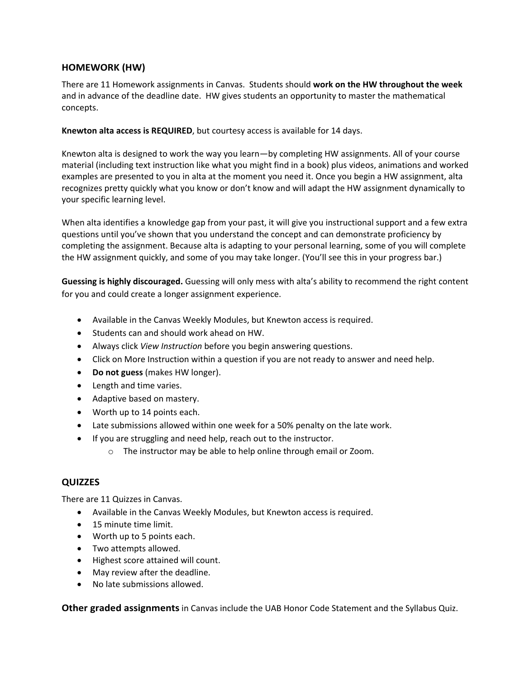### **HOMEWORK (HW)**

There are 11 Homework assignments in Canvas. Students should **work on the HW throughout the week** and in advance of the deadline date. HW gives students an opportunity to master the mathematical concepts.

**Knewton alta access is REQUIRED**, but courtesy access is available for 14 days.

Knewton alta is designed to work the way you learn—by completing HW assignments. All of your course material (including text instruction like what you might find in a book) plus videos, animations and worked examples are presented to you in alta at the moment you need it. Once you begin a HW assignment, alta recognizes pretty quickly what you know or don't know and will adapt the HW assignment dynamically to your specific learning level.

When alta identifies a knowledge gap from your past, it will give you instructional support and a few extra questions until you've shown that you understand the concept and can demonstrate proficiency by completing the assignment. Because alta is adapting to your personal learning, some of you will complete the HW assignment quickly, and some of you may take longer. (You'll see this in your progress bar.)

**Guessing is highly discouraged.** Guessing will only mess with alta's ability to recommend the right content for you and could create a longer assignment experience.

- Available in the Canvas Weekly Modules, but Knewton access is required.
- Students can and should work ahead on HW.
- Always click *View Instruction* before you begin answering questions.
- Click on More Instruction within a question if you are not ready to answer and need help.
- **Do not guess** (makes HW longer).
- Length and time varies.
- Adaptive based on mastery.
- Worth up to 14 points each.
- Late submissions allowed within one week for a 50% penalty on the late work.
- If you are struggling and need help, reach out to the instructor.
	- o The instructor may be able to help online through email or Zoom.

### **QUIZZES**

There are 11 Quizzes in Canvas.

- Available in the Canvas Weekly Modules, but Knewton access is required.
- 15 minute time limit.
- Worth up to 5 points each.
- Two attempts allowed.
- Highest score attained will count.
- May review after the deadline.
- No late submissions allowed.

**Other graded assignments** in Canvas include the UAB Honor Code Statement and the Syllabus Quiz.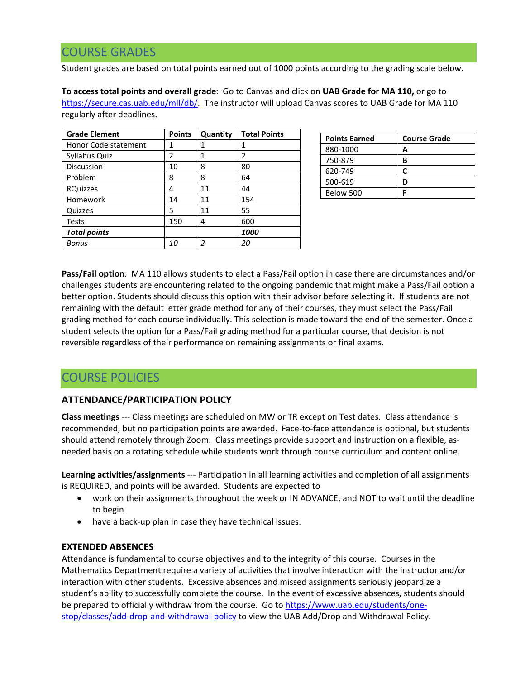# COURSE GRADES

Student grades are based on total points earned out of 1000 points according to the grading scale below.

**To access total points and overall grade**: Go to Canvas and click on **UAB Grade for MA 110,** or go to [https://secure.cas.uab.edu/mll/db/.](https://secure.cas.uab.edu/mll/db/) The instructor will upload Canvas scores to UAB Grade for MA 110 regularly after deadlines.

| <b>Grade Element</b> | <b>Points</b> | Quantity | <b>Total Points</b> |
|----------------------|---------------|----------|---------------------|
| Honor Code statement | 1             | 1        | 1                   |
| Syllabus Quiz        | 2             | 1        | $\mathfrak z$       |
| Discussion           | 10            | 8        | 80                  |
| Problem              | 8             | 8        | 64                  |
| <b>RQuizzes</b>      | 4             | 11       | 44                  |
| Homework             | 14            | 11       | 154                 |
| Quizzes              | 5             | 11       | 55                  |
| <b>Tests</b>         | 150           | 4        | 600                 |
| <b>Total points</b>  |               |          | 1000                |
| Bonus                | 10            | 2        | 20                  |

| <b>Points Earned</b> | <b>Course Grade</b> |  |
|----------------------|---------------------|--|
| 880-1000             | A                   |  |
| 750-879              | в                   |  |
| 620-749              | r                   |  |
| 500-619              | n                   |  |
| Below 500            |                     |  |

**Pass/Fail option**: MA 110 allows students to elect a Pass/Fail option in case there are circumstances and/or challenges students are encountering related to the ongoing pandemic that might make a Pass/Fail option a better option. Students should discuss this option with their advisor before selecting it. If students are not remaining with the default letter grade method for any of their courses, they must select the Pass/Fail grading method for each course individually. This selection is made toward the end of the semester. Once a student selects the option for a Pass/Fail grading method for a particular course, that decision is not reversible regardless of their performance on remaining assignments or final exams.

# COURSE POLICIES

### **ATTENDANCE/PARTICIPATION POLICY**

**Class meetings** --- Class meetings are scheduled on MW or TR except on Test dates. Class attendance is recommended, but no participation points are awarded. Face-to-face attendance is optional, but students should attend remotely through Zoom. Class meetings provide support and instruction on a flexible, asneeded basis on a rotating schedule while students work through course curriculum and content online.

**Learning activities/assignments** --- Participation in all learning activities and completion of all assignments is REQUIRED, and points will be awarded. Students are expected to

- work on their assignments throughout the week or IN ADVANCE, and NOT to wait until the deadline to begin.
- have a back-up plan in case they have technical issues.

### **EXTENDED ABSENCES**

Attendance is fundamental to course objectives and to the integrity of this course. Courses in the Mathematics Department require a variety of activities that involve interaction with the instructor and/or interaction with other students. Excessive absences and missed assignments seriously jeopardize a student's ability to successfully complete the course. In the event of excessive absences, students should be prepared to officially withdraw from the course. Go to [https://www.uab.edu/students/one](https://www.uab.edu/students/one-stop/classes/add-drop-and-withdrawal-policy)[stop/classes/add-drop-and-withdrawal-policy](https://www.uab.edu/students/one-stop/classes/add-drop-and-withdrawal-policy) to view the UAB Add/Drop and Withdrawal Policy.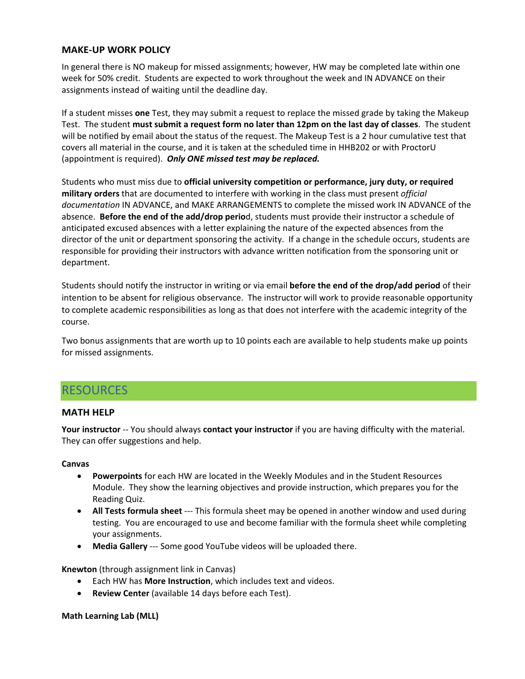### **MAKE-UP WORK POLICY**

In general there is NO makeup for missed assignments; however, HW may be completed late within one week for 50% credit. Students are expected to work throughout the week and IN ADVANCE on their assignments instead of waiting until the deadline day.

If a student misses **one** Test, they may submit a request to replace the missed grade by taking the Makeup Test. The student **must submit a request form no later than 12pm on the last day of classes**. The student will be notified by email about the status of the request. The Makeup Test is a 2 hour cumulative test that covers all material in the course, and it is taken at the scheduled time in HHB202 or with ProctorU (appointment is required). *Only ONE missed test may be replaced.*

Students who must miss due to **official university competition or performance, jury duty, or required military orders** that are documented to interfere with working in the class must present *official documentation* IN ADVANCE, and MAKE ARRANGEMENTS to complete the missed work IN ADVANCE of the absence. **Before the end of the add/drop perio**d, students must provide their instructor a schedule of anticipated excused absences with a letter explaining the nature of the expected absences from the director of the unit or department sponsoring the activity. If a change in the schedule occurs, students are responsible for providing their instructors with advance written notification from the sponsoring unit or department.

Students should notify the instructor in writing or via email **before the end of the drop/add period** of their intention to be absent for religious observance. The instructor will work to provide reasonable opportunity to complete academic responsibilities as long as that does not interfere with the academic integrity of the course.

Two bonus assignments that are worth up to 10 points each are available to help students make up points for missed assignments.

### RESOURCES

### **MATH HELP**

**Your instructor** -- You should always **contact your instructor** if you are having difficulty with the material. They can offer suggestions and help.

#### **Canvas**

- **Powerpoints** for each HW are located in the Weekly Modules and in the Student Resources Module. They show the learning objectives and provide instruction, which prepares you for the Reading Quiz.
- **All Tests formula sheet** --- This formula sheet may be opened in another window and used during testing. You are encouraged to use and become familiar with the formula sheet while completing your assignments.
- **Media Gallery** --- Some good YouTube videos will be uploaded there.

**Knewton** (through assignment link in Canvas)

- Each HW has **More Instruction**, which includes text and videos.
- **Review Center** (available 14 days before each Test).

#### **Math Learning Lab (MLL)**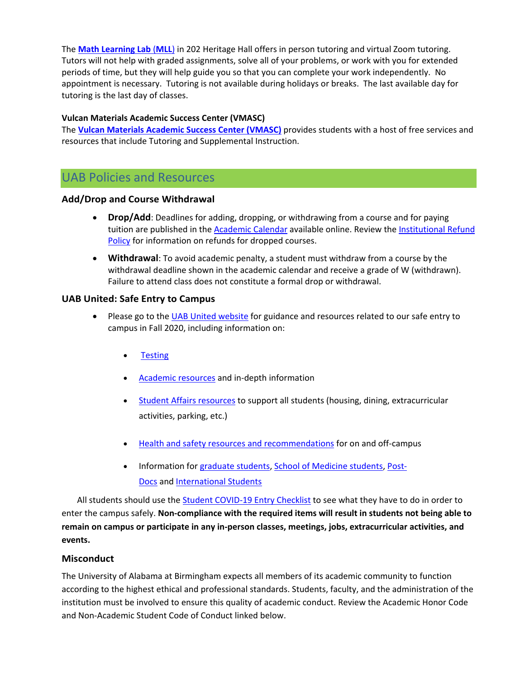The **[Math Learning Lab](https://www.uab.edu/cas/mathematics/student-resources/math-learning-lab)** (**MLL**) in 202 Heritage Hall offers in person tutoring and virtual Zoom tutoring. Tutors will not help with graded assignments, solve all of your problems, or work with you for extended periods of time, but they will help guide you so that you can complete your work independently. No appointment is necessary. Tutoring is not available during holidays or breaks. The last available day for tutoring is the last day of classes.

### **Vulcan Materials Academic Success Center (VMASC)**

The **Vulcan Materials [Academic Success Center \(VMASC\)](https://www.uab.edu/students/academics/student-success)** provides students with a host of free services and resources that include Tutoring and Supplemental Instruction.

# UAB Policies and Resources

### **Add/Drop and Course Withdrawal**

- **Drop/Add**: Deadlines for adding, dropping, or withdrawing from a course and for paying tuition are published in the [Academic Calendar](https://www.uab.edu/students/academics/academic-calendar) available online. Review the [Institutional Refund](https://www.uab.edu/students/one-stop/policies/institutional-refund-policy)  [Policy](https://www.uab.edu/students/one-stop/policies/institutional-refund-policy) for information on refunds for dropped courses.
- **Withdrawal**: To avoid academic penalty, a student must withdraw from a course by the withdrawal deadline shown in the academic calendar and receive a grade of W (withdrawn). Failure to attend class does not constitute a formal drop or withdrawal.

### **UAB United: Safe Entry to Campus**

- Please go to the [UAB United website](https://www.uab.edu/uabunited/students) for guidance and resources related to our safe entry to campus in Fall 2020, including information on:
	- **[Testing](https://www.uab.edu/uabunited/students/testing)**
	- [Academic resources](https://www.uab.edu/uabunited/students/academics) and in-depth information
	- [Student Affairs resources](https://www.uab.edu/uabunited/students/student-affairs) to support all students (housing, dining, extracurricular activities, parking, etc.)
	- [Health and safety resources and recommendations](https://www.uab.edu/uabunited/students/health-safety) for on and off-campus
	- Information for [graduate students,](https://www.uab.edu/graduate/about/graduate-school-covid-19-updates) [School of Medicine students,](https://www.uab.edu/medicine/home/covid-19-updates) [Post-](https://www.uab.edu/postdocs/covid-19)[Docs](https://www.uab.edu/postdocs/covid-19) and [International Students](https://www.uab.edu/global/about/programs-services/isss/faqs-concerning-recent-sevp-guidance-and-covid-19-planning)

All students should use the [Student COVID-19 Entry Checklist](https://www.uab.edu/uabunited/entry-checklists#student-checklist) to see what they have to do in order to enter the campus safely. **Non-compliance with the required items will result in students not being able to remain on campus or participate in any in-person classes, meetings, jobs, extracurricular activities, and events.**

### **Misconduct**

The University of Alabama at Birmingham expects all members of its academic community to function according to the highest ethical and professional standards. Students, faculty, and the administration of the institution must be involved to ensure this quality of academic conduct. Review the Academic Honor Code and Non-Academic Student Code of Conduct linked below.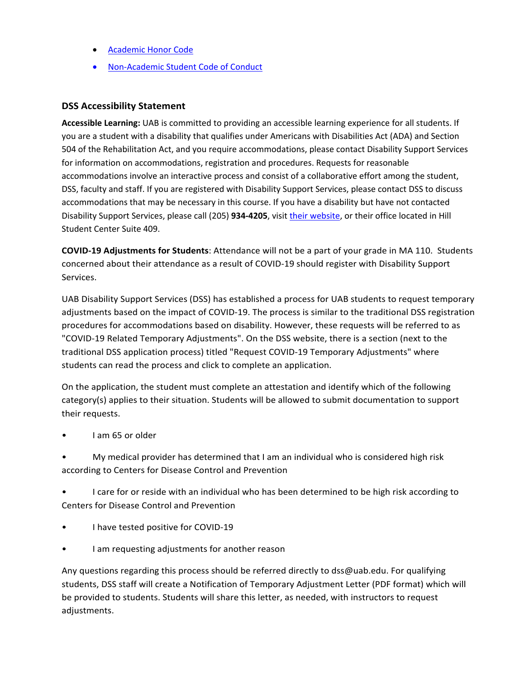- [Academic Honor Code](http://www.uab.edu/students/one-stop/policies/academic-honor-code)
- [Non-Academic Student Code of Conduct](http://www.uab.edu/studentconduct)

### **DSS Accessibility Statement**

**Accessible Learning:** UAB is committed to providing an accessible learning experience for all students. If you are a student with a disability that qualifies under Americans with Disabilities Act (ADA) and Section 504 of the Rehabilitation Act, and you require accommodations, please contact Disability Support Services for information on accommodations, registration and procedures. Requests for reasonable accommodations involve an interactive process and consist of a collaborative effort among the student, DSS, faculty and staff. If you are registered with Disability Support Services, please contact DSS to discuss accommodations that may be necessary in this course. If you have a disability but have not contacted Disability Support Services, please call (205) **934-4205**, visit [their website,](http://www.uab.edu/dss) or their office located in Hill Student Center Suite 409.

**COVID-19 Adjustments for Students**: Attendance will not be a part of your grade in MA 110. Students concerned about their attendance as a result of COVID-19 should register with Disability Support Services.

UAB Disability Support Services (DSS) has established a process for UAB students to request temporary adjustments based on the impact of COVID-19. The process is similar to the traditional DSS registration procedures for accommodations based on disability. However, these requests will be referred to as "COVID-19 Related Temporary Adjustments". On the DSS website, there is a section (next to the traditional DSS application process) titled "Request COVID-19 Temporary Adjustments" where students can read the process and click to complete an application.

On the application, the student must complete an attestation and identify which of the following category(s) applies to their situation. Students will be allowed to submit documentation to support their requests.

• I am 65 or older

• My medical provider has determined that I am an individual who is considered high risk according to Centers for Disease Control and Prevention

• I care for or reside with an individual who has been determined to be high risk according to Centers for Disease Control and Prevention

- I have tested positive for COVID-19
- I am requesting adjustments for another reason

Any questions regarding this process should be referred directly to dss@uab.edu. For qualifying students, DSS staff will create a Notification of Temporary Adjustment Letter (PDF format) which will be provided to students. Students will share this letter, as needed, with instructors to request adjustments.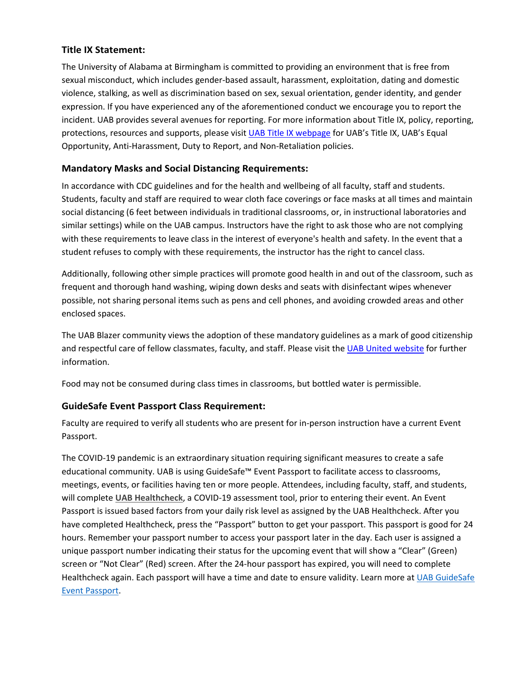### **Title IX Statement:**

The University of Alabama at Birmingham is committed to providing an environment that is free from sexual misconduct, which includes gender-based assault, harassment, exploitation, dating and domestic violence, stalking, as well as discrimination based on sex, sexual orientation, gender identity, and gender expression. If you have experienced any of the aforementioned conduct we encourage you to report the incident. UAB provides several avenues for reporting. For more information about Title IX, policy, reporting, protections, resources and supports, please visit [UAB Title IX webpage](http://www.uab.edu/titleix) for UAB's Title IX, UAB's Equal Opportunity, Anti-Harassment, Duty to Report, and Non-Retaliation policies.

### **Mandatory Masks and Social Distancing Requirements:**

In accordance with CDC guidelines and for the health and wellbeing of all faculty, staff and students. Students, faculty and staff are required to wear cloth face coverings or face masks at all times and maintain social distancing (6 feet between individuals in traditional classrooms, or, in instructional laboratories and similar settings) while on the UAB campus. Instructors have the right to ask those who are not complying with these requirements to leave class in the interest of everyone's health and safety. In the event that a student refuses to comply with these requirements, the instructor has the right to cancel class.

Additionally, following other simple practices will promote good health in and out of the classroom, such as frequent and thorough hand washing, wiping down desks and seats with disinfectant wipes whenever possible, not sharing personal items such as pens and cell phones, and avoiding crowded areas and other enclosed spaces.

The UAB Blazer community views the adoption of these mandatory guidelines as a mark of good citizenship and respectful care of fellow classmates, faculty, and staff. Please visit the [UAB United website](https://www.uab.edu/uabunited/students) for further information.

Food may not be consumed during class times in classrooms, but bottled water is permissible.

### **GuideSafe Event Passport Class Requirement:**

Faculty are required to verify all students who are present for in-person instruction have a current Event Passport.

The COVID-19 pandemic is an extraordinary situation requiring significant measures to create a safe educational community. UAB is using GuideSafe™ Event Passport to facilitate access to classrooms, meetings, events, or facilities having ten or more people. Attendees, including faculty, staff, and students, will complete **[UAB Healthcheck](https://www.uab.edu/uabunited/uab-healthcheck)**, a COVID-19 assessment tool, prior to entering their event. An Event Passport is issued based factors from your daily risk level as assigned by the UAB Healthcheck. After you have completed Healthcheck, press the "Passport" button to get your passport. This passport is good for 24 hours. Remember your passport number to access your passport later in the day. Each user is assigned a unique passport number indicating their status for the upcoming event that will show a "Clear" (Green) screen or "Not Clear" (Red) screen. After the 24-hour passport has expired, you will need to complete Healthcheck again. Each passport will have a time and date to ensure validity. Learn more at UAB GuideSafe [Event Passport.](https://www.uab.edu/uabunited/guidesafe-event-passport)